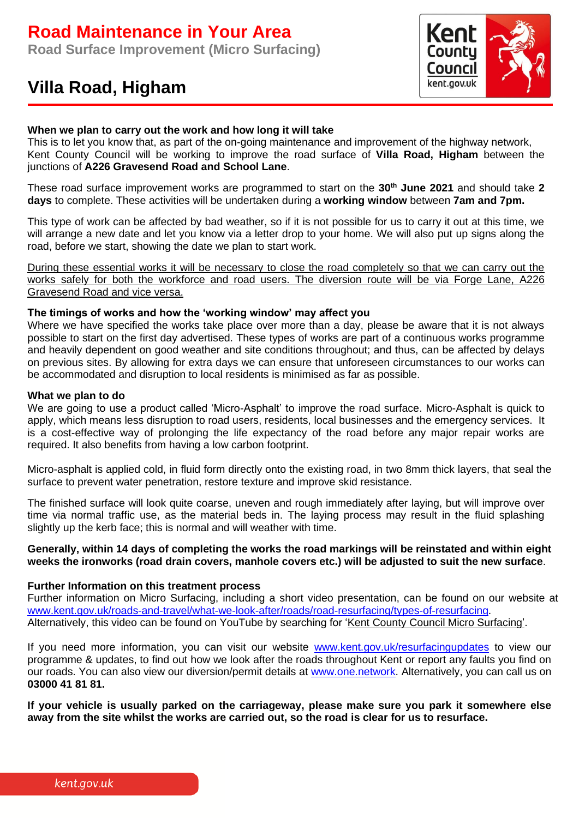# **Road Maintenance in Your Area**

**Road Surface Improvement (Micro Surfacing)**

## **Villa Road, Higham**



## **When we plan to carry out the work and how long it will take**

This is to let you know that, as part of the on-going maintenance and improvement of the highway network, Kent County Council will be working to improve the road surface of **Villa Road, Higham** between the junctions of **A226 Gravesend Road and School Lane**.

These road surface improvement works are programmed to start on the **30th June 2021** and should take **2 days** to complete. These activities will be undertaken during a **working window** between **7am and 7pm.**

This type of work can be affected by bad weather, so if it is not possible for us to carry it out at this time, we will arrange a new date and let you know via a letter drop to your home. We will also put up signs along the road, before we start, showing the date we plan to start work.

During these essential works it will be necessary to close the road completely so that we can carry out the works safely for both the workforce and road users. The diversion route will be via Forge Lane, A226 Gravesend Road and vice versa.

#### **The timings of works and how the 'working window' may affect you**

Where we have specified the works take place over more than a day, please be aware that it is not always possible to start on the first day advertised. These types of works are part of a continuous works programme and heavily dependent on good weather and site conditions throughout; and thus, can be affected by delays on previous sites. By allowing for extra days we can ensure that unforeseen circumstances to our works can be accommodated and disruption to local residents is minimised as far as possible.

#### **What we plan to do**

We are going to use a product called 'Micro-Asphalt' to improve the road surface. Micro-Asphalt is quick to apply, which means less disruption to road users, residents, local businesses and the emergency services. It is a cost-effective way of prolonging the life expectancy of the road before any major repair works are required. It also benefits from having a low carbon footprint.

Micro-asphalt is applied cold, in fluid form directly onto the existing road, in two 8mm thick layers, that seal the surface to prevent water penetration, restore texture and improve skid resistance.

The finished surface will look quite coarse, uneven and rough immediately after laying, but will improve over time via normal traffic use, as the material beds in. The laying process may result in the fluid splashing slightly up the kerb face; this is normal and will weather with time.

## **Generally, within 14 days of completing the works the road markings will be reinstated and within eight weeks the ironworks (road drain covers, manhole covers etc.) will be adjusted to suit the new surface**.

## **Further Information on this treatment process**

Further information on Micro Surfacing, including a short video presentation, can be found on our website at [www.kent.gov.uk/roads-and-travel/what-we-look-after/roads/road-resurfacing/types-of-resurfacing.](http://www.kent.gov.uk/roads-and-travel/what-we-look-after/roads/road-resurfacing/types-of-resurfacing) Alternatively, this video can be found on YouTube by searching for 'Kent County Council Micro Surfacing'.

If you need more information, you can visit our website [www.kent.gov.uk/resurfacingupdates](http://www.kent.gov.uk/resurfacingupdates) to view our programme & updates, to find out how we look after the roads throughout Kent or report any faults you find on our roads. You can also view our diversion/permit details at [www.one.network.](http://www.one.network/) Alternatively, you can call us on **03000 41 81 81.**

**If your vehicle is usually parked on the carriageway, please make sure you park it somewhere else away from the site whilst the works are carried out, so the road is clear for us to resurface.**